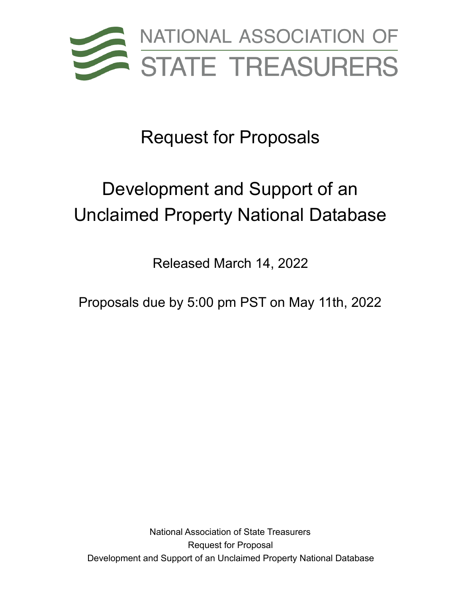

## Request for Proposals

# Development and Support of an Unclaimed Property National Database

Released March 14, 2022

Proposals due by 5:00 pm PST on May 11th, 2022

National Association of State Treasurers Request for Proposal Development and Support of an Unclaimed Property National Database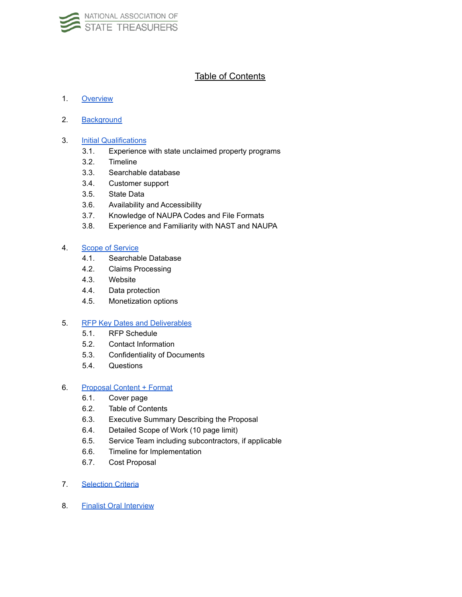

## **Table of Contents**

#### 1. Overview

2. Background

#### 3. Initial Qualifications

- 3.1. Experience with state unclaimed property programs
- 3.2. Timeline
- 3.3. Searchable database
- 3.4. Customer support
- 3.5. State Data
- 3.6. Availability and Accessibility
- 3.7. Knowledge of NAUPA Codes and File Formats
- 3.8. Experience and Familiarity with NAST and NAUPA

#### 4. Scope of Service

- 4.1. Searchable Database
- 4.2. Claims Processing
- 4.3. Website
- 4.4. Data protection
- 4.5. Monetization options

#### 5. RFP Key Dates and Deliverables

- 5.1. RFP Schedule
- 5.2. Contact Information
- 5.3. Confidentiality of Documents
- 5.4. Questions

#### 6. Proposal Content + Format

- 6.1. Cover page
- 6.2. Table of Contents
- 6.3. Executive Summary Describing the Proposal
- 6.4. Detailed Scope of Work (10 page limit)
- 6.5. Service Team including subcontractors, if applicable
- 6.6. Timeline for Implementation
- 6.7. Cost Proposal
- 7. Selection Criteria
- 8. Finalist Oral Interview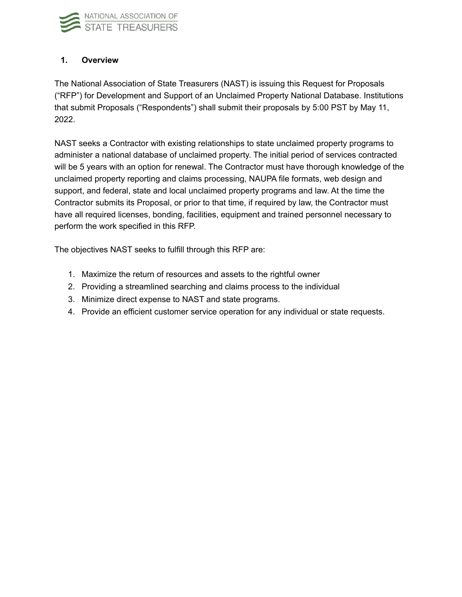

## **1. Overview**

The National Association of State Treasurers (NAST) is issuing this Request for Proposals ("RFP") for Development and Support of an Unclaimed Property National Database. Institutions that submit Proposals ("Respondents") shall submit their proposals by 5:00 PST by May 11, 2022.

NAST seeks a Contractor with existing relationships to state unclaimed property programs to administer a national database of unclaimed property. The initial period of services contracted will be 5 years with an option for renewal. The Contractor must have thorough knowledge of the unclaimed property reporting and claims processing, NAUPA file formats, web design and support, and federal, state and local unclaimed property programs and law. At the time the Contractor submits its Proposal, or prior to that time, if required by law, the Contractor must have all required licenses, bonding, facilities, equipment and trained personnel necessary to perform the work specified in this RFP.

The objectives NAST seeks to fulfill through this RFP are:

- 1. Maximize the return of resources and assets to the rightful owner
- 2. Providing a streamlined searching and claims process to the individual
- 3. Minimize direct expense to NAST and state programs.
- 4. Provide an efficient customer service operation for any individual or state requests.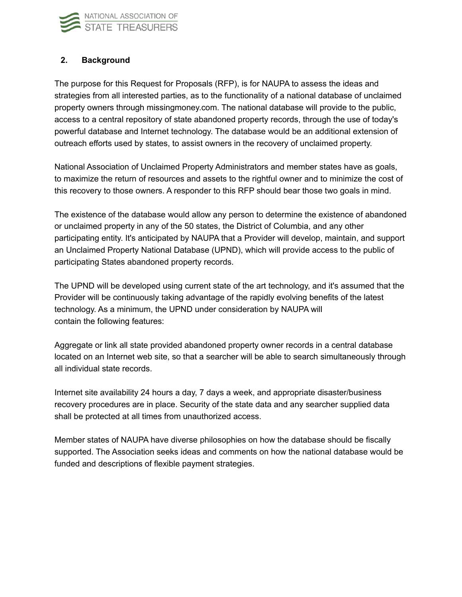

## **2. Background**

The purpose for this Request for Proposals (RFP), is for NAUPA to assess the ideas and strategies from all interested parties, as to the functionality of a national database of unclaimed property owners through missingmoney.com. The national database will provide to the public, access to a central repository of state abandoned property records, through the use of today's powerful database and Internet technology. The database would be an additional extension of outreach efforts used by states, to assist owners in the recovery of unclaimed property.

National Association of Unclaimed Property Administrators and member states have as goals, to maximize the return of resources and assets to the rightful owner and to minimize the cost of this recovery to those owners. A responder to this RFP should bear those two goals in mind.

The existence of the database would allow any person to determine the existence of abandoned or unclaimed property in any of the 50 states, the District of Columbia, and any other participating entity. It's anticipated by NAUPA that a Provider will develop, maintain, and support an Unclaimed Property National Database (UPND), which will provide access to the public of participating States abandoned property records.

The UPND will be developed using current state of the art technology, and it's assumed that the Provider will be continuously taking advantage of the rapidly evolving benefits of the latest technology. As a minimum, the UPND under consideration by NAUPA will contain the following features:

Aggregate or link all state provided abandoned property owner records in a central database located on an Internet web site, so that a searcher will be able to search simultaneously through all individual state records.

Internet site availability 24 hours a day, 7 days a week, and appropriate disaster/business recovery procedures are in place. Security of the state data and any searcher supplied data shall be protected at all times from unauthorized access.

Member states of NAUPA have diverse philosophies on how the database should be fiscally supported. The Association seeks ideas and comments on how the national database would be funded and descriptions of flexible payment strategies.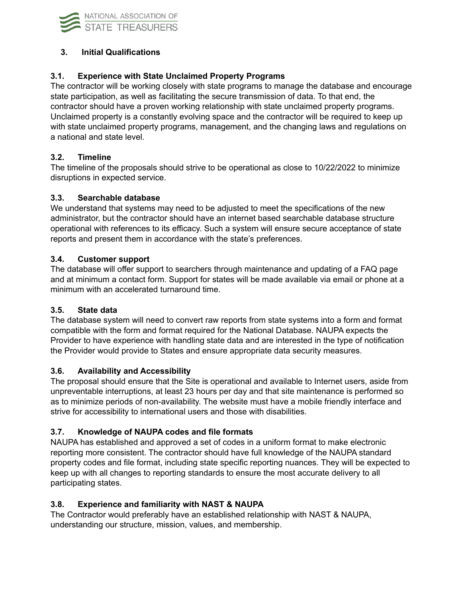

### **3. Initial Qualifications**

#### **3.1. Experience with State Unclaimed Property Programs**

The contractor will be working closely with state programs to manage the database and encourage state participation, as well as facilitating the secure transmission of data. To that end, the contractor should have a proven working relationship with state unclaimed property programs. Unclaimed property is a constantly evolving space and the contractor will be required to keep up with state unclaimed property programs, management, and the changing laws and regulations on a national and state level.

#### **3.2. Timeline**

The timeline of the proposals should strive to be operational as close to 10/22/2022 to minimize disruptions in expected service.

#### **3.3. Searchable database**

We understand that systems may need to be adjusted to meet the specifications of the new administrator, but the contractor should have an internet based searchable database structure operational with references to its efficacy. Such a system will ensure secure acceptance of state reports and present them in accordance with the state's preferences.

#### **3.4. Customer support**

The database will offer support to searchers through maintenance and updating of a FAQ page and at minimum a contact form. Support for states will be made available via email or phone at a minimum with an accelerated turnaround time.

#### **3.5. State data**

The database system will need to convert raw reports from state systems into a form and format compatible with the form and format required for the National Database. NAUPA expects the Provider to have experience with handling state data and are interested in the type of notification the Provider would provide to States and ensure appropriate data security measures.

#### **3.6. Availability and Accessibility**

The proposal should ensure that the Site is operational and available to Internet users, aside from unpreventable interruptions, at least 23 hours per day and that site maintenance is performed so as to minimize periods of non-availability. The website must have a mobile friendly interface and strive for accessibility to international users and those with disabilities.

## **3.7. Knowledge of NAUPA codes and file formats**

NAUPA has established and approved a set of codes in a uniform format to make electronic reporting more consistent. The contractor should have full knowledge of the NAUPA standard property codes and file format, including state specific reporting nuances. They will be expected to keep up with all changes to reporting standards to ensure the most accurate delivery to all participating states.

## **3.8. Experience and familiarity with NAST & NAUPA**

The Contractor would preferably have an established relationship with NAST & NAUPA, understanding our structure, mission, values, and membership.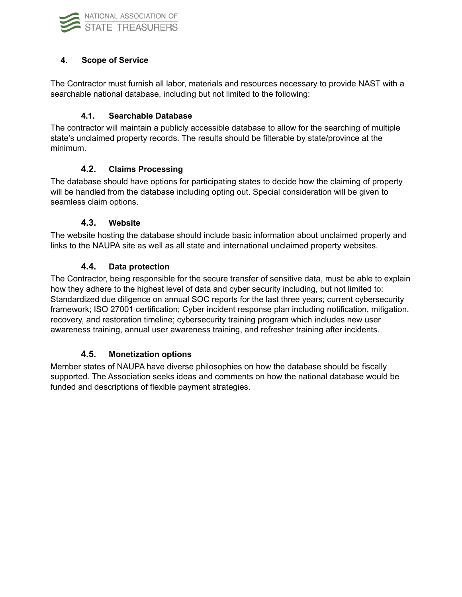

## **4. Scope of Service**

The Contractor must furnish all labor, materials and resources necessary to provide NAST with a searchable national database, including but not limited to the following:

## **4.1. Searchable Database**

The contractor will maintain a publicly accessible database to allow for the searching of multiple state's unclaimed property records. The results should be filterable by state/province at the minimum.

## **4.2. Claims Processing**

The database should have options for participating states to decide how the claiming of property will be handled from the database including opting out. Special consideration will be given to seamless claim options.

## **4.3. Website**

The website hosting the database should include basic information about unclaimed property and links to the NAUPA site as well as all state and international unclaimed property websites.

## **4.4. Data protection**

The Contractor, being responsible for the secure transfer of sensitive data, must be able to explain how they adhere to the highest level of data and cyber security including, but not limited to: Standardized due diligence on annual SOC reports for the last three years; current cybersecurity framework; ISO 27001 certification; Cyber incident response plan including notification, mitigation, recovery, and restoration timeline; cybersecurity training program which includes new user awareness training, annual user awareness training, and refresher training after incidents.

## **4.5. Monetization options**

Member states of NAUPA have diverse philosophies on how the database should be fiscally supported. The Association seeks ideas and comments on how the national database would be funded and descriptions of flexible payment strategies.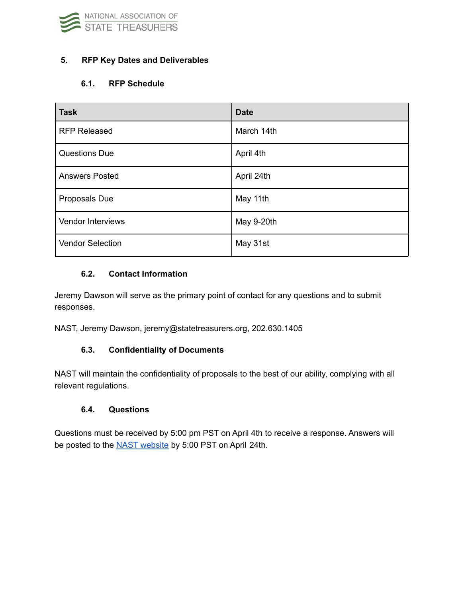

#### **5. RFP Key Dates and Deliverables**

## **6.1. RFP Schedule**

| <b>Task</b>             | <b>Date</b> |
|-------------------------|-------------|
| <b>RFP Released</b>     | March 14th  |
| <b>Questions Due</b>    | April 4th   |
| <b>Answers Posted</b>   | April 24th  |
| Proposals Due           | May 11th    |
| Vendor Interviews       | May 9-20th  |
| <b>Vendor Selection</b> | May 31st    |

## **6.2. Contact Information**

Jeremy Dawson will serve as the primary point of contact for any questions and to submit responses.

NAST, Jeremy Dawson, [jeremy@statetreasurers.org,](mailto:jeremy@statetreasurers.org) 202.630.1405

#### **6.3. Confidentiality of Documents**

NAST will maintain the confidentiality of proposals to the best of our ability, complying with all relevant regulations.

#### **6.4. Questions**

Questions must be received by 5:00 pm PST on April 4th to receive a response. Answers will be posted to the NAST [website](https://nast.org/clearinghouse/) by 5:00 PST on April 24th.